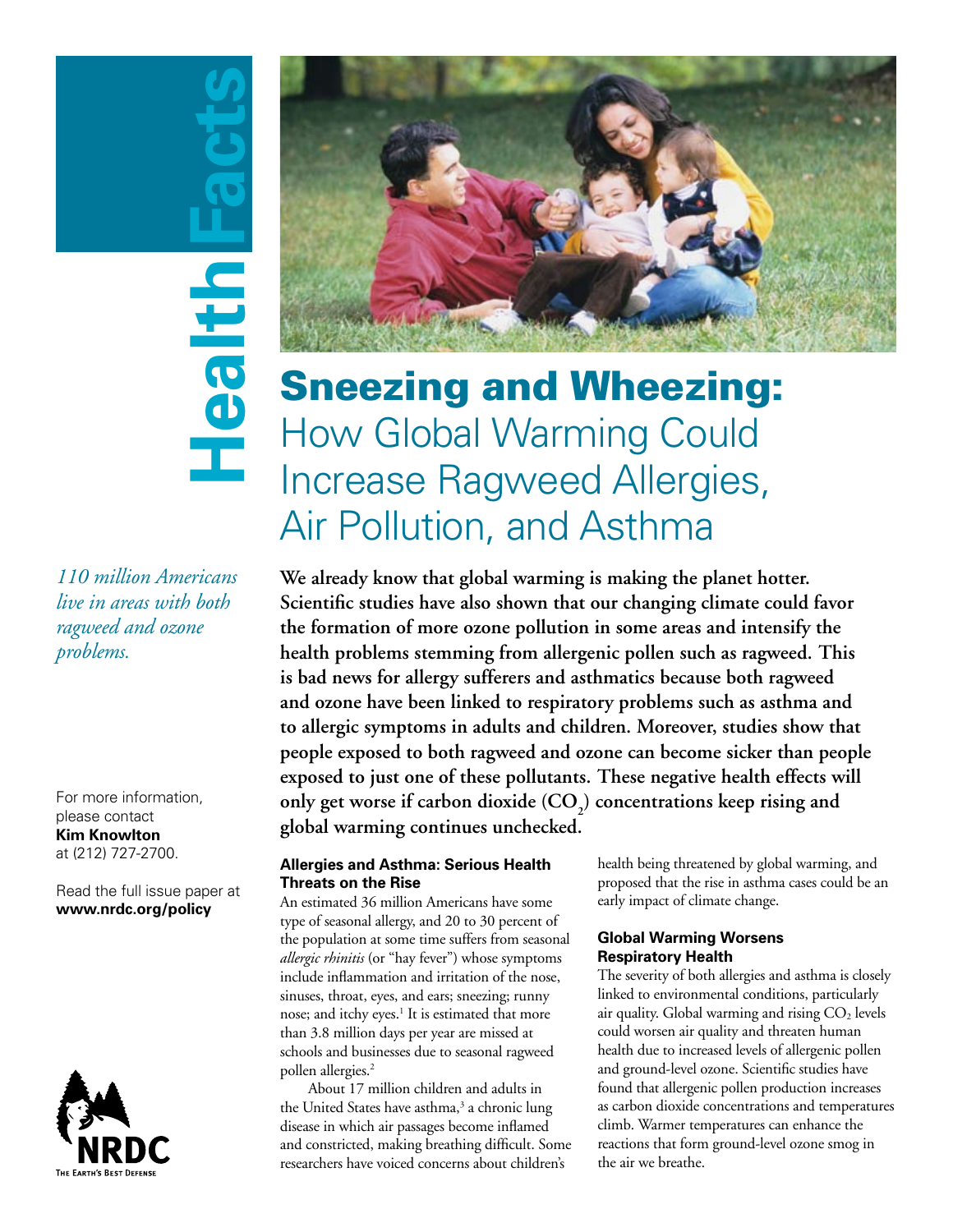# **HealthFacts** Health

*110 million Americans live in areas with both ragweed and ozone problems.*

For more information, please contact **Kim Knowlton** at (212) 727-2700.

Read the full issue paper at **www.nrdc.org/policy**





### Sneezing and Wheezing: How Global Warming Could Increase Ragweed Allergies, Air Pollution, and Asthma

**We already know that global warming is making the planet hotter. Scientific studies have also shown that our changing climate could favor the formation of more ozone pollution in some areas and intensify the health problems stemming from allergenic pollen such as ragweed. This is bad news for allergy sufferers and asthmatics because both ragweed and ozone have been linked to respiratory problems such as asthma and to allergic symptoms in adults and children. Moreover, studies show that people exposed to both ragweed and ozone can become sicker than people exposed to just one of these pollutants. These negative health effects will**  only get worse if carbon dioxide (CO<sub>2</sub>) concentrations keep rising and **global warming continues unchecked.** 

#### **Allergies and Asthma: Serious Health Threats on the Rise**

An estimated 36 million Americans have some type of seasonal allergy, and 20 to 30 percent of the population at some time suffers from seasonal *allergic rhinitis* (or "hay fever") whose symptoms include inflammation and irritation of the nose, sinuses, throat, eyes, and ears; sneezing; runny nose; and itchy eyes.<sup>1</sup> It is estimated that more than 3.8 million days per year are missed at schools and businesses due to seasonal ragweed pollen allergies.<sup>2</sup>

About 17 million children and adults in the United States have asthma,<sup>3</sup> a chronic lung disease in which air passages become inflamed and constricted, making breathing difficult. Some researchers have voiced concerns about children's

health being threatened by global warming, and proposed that the rise in asthma cases could be an early impact of climate change.

#### **Global Warming Worsens Respiratory Health**

The severity of both allergies and asthma is closely linked to environmental conditions, particularly air quality. Global warming and rising  $CO<sub>2</sub>$  levels could worsen air quality and threaten human health due to increased levels of allergenic pollen and ground-level ozone. Scientific studies have found that allergenic pollen production increases as carbon dioxide concentrations and temperatures climb. Warmer temperatures can enhance the reactions that form ground-level ozone smog in the air we breathe.